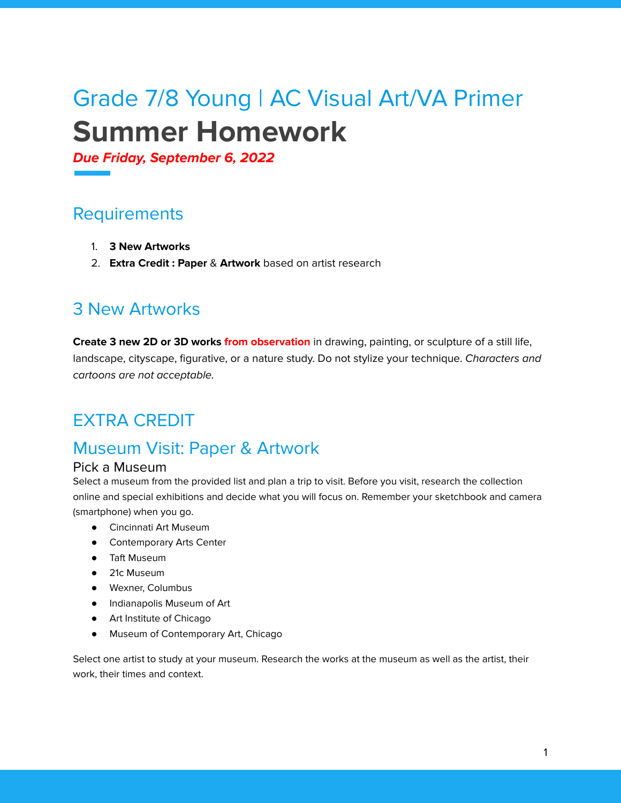# Grade 7/8 Young | AC Visual Art/VA Primer **Summer Homework**

**Due Friday, September 6, 2022**

## **Requirements**

- 1. **3 New Artworks**
- 2. **Extra Credit : Paper** & **Artwork** based on artist research

## 3 New Artworks

**Create 3 new 2D or 3D works from observation** in drawing, painting, or sculpture of a still life, landscape, cityscape, figurative, or a nature study. Do not stylize your technique. Characters and cartoons are not acceptable.

# EXTRA CREDIT

## Museum Visit: Paper & Artwork

#### Pick a Museum

Select a museum from the provided list and plan a trip to visit. Before you visit, research the collection online and special exhibitions and decide what you will focus on. Remember your sketchbook and camera (smartphone) when you go.

- Cincinnati Art Museum
- **•** Contemporary Arts Center
- Taft Museum
- 21c Museum
- Wexner, Columbus
- Indianapolis Museum of Art
- Art Institute of Chicago
- Museum of Contemporary Art, Chicago

Select one artist to study at your museum. Research the works at the museum as well as the artist, their work, their times and context.